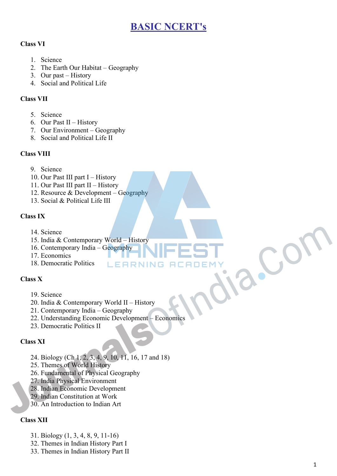## **BASIC NCERT's**

### **Class VI**

- 1. Science
- 2. The Earth Our Habitat Geography
- 3. Our past History
- 4. Social and Political Life

#### **Class VII**

- 5. Science
- 6. Our Past II History
- 7. Our Environment Geography
- 8. Social and Political Life II

#### **Class VIII**

- 9. Science
- 10. Our Past III part I History
- 11. Our Past III part II History
- 12. Resource & Development Geography
- 13. Social & Political Life III

#### **Class IX**

- 14. Science
- 15. India & Contemporary World History
- 16. Contemporary India Geography
- 17. Economics
- 18. Democratic Politics

#### **Class X**

- 19. Science
- 20. India & Contemporary World II History
- 21. Contemporary India Geography
- 22. Understanding Economic Development Economics 14. Science<br>
15. India & Contemporary World History<br>
16. Contemporary India Geography<br>
17. Economics<br>
18. Democratic Politics<br>
18. Democratic Politics<br>
20. India & Contemporary World II – History<br>
21. Contemporary India –
	- 23. Democratic Politics II

#### **Class XI**

- 24. Biology (Ch 1, 2, 3, 4, 9, 10, 11, 16, 17 and 18)
- 25. Themes of World History
- 26. Fundamental of Physical Geography
- 27. India Physical Environment
- 28. Indian Economic Development
- 29. Indian Constitution at Work
- 30. An Introduction to Indian Art

#### **Class XII**

- 31. Biology (1, 3, 4, 8, 9, 11-16)
- 32. Themes in Indian History Part I
- 33. Themes in Indian History Part II